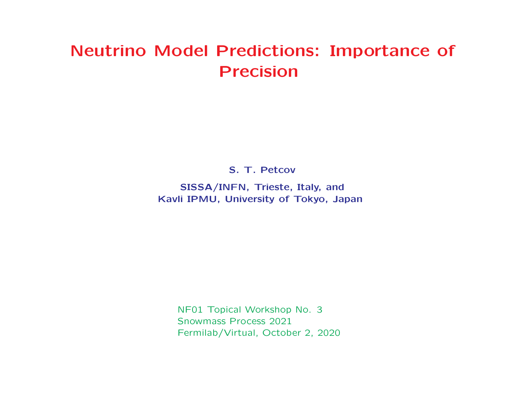## Neutrino Model Predictions: Importance of Precision

S. T. Petcov

SISSA/INFN, Trieste, Italy, and Kavli IPMU, University of Tokyo, Japan

NF01 Topical Workshop No. 3 Snowmass Process 2021 Fermilab/Virtual, October 2, 2020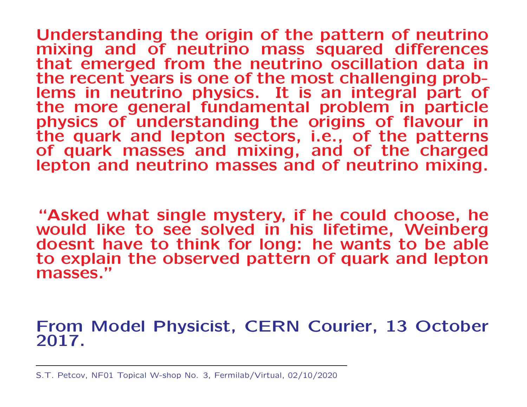Understanding the origin of the pattern of neutrino mixing and of neutrino mass squared differences that emerged from the neutrino oscillation data in the recent years is one of the most challenging problems in neutrino physics. It is an integral part of the more general fundamental problem in particle physics of understanding the origins of flavour in the quark and lepton sectors, i.e., of the patterns of quark masses and mixing, and of the charged lepton and neutrino masses and of neutrino mixing.

"Asked what single mystery, if he could choose, he would like to see solved in his lifetime, Weinberg doesnt have to think for long: he wants to be able to explain the observed pattern of quark and lepton masses."

#### From Model Physicist, CERN Courier, 13 October 2017.

S.T. Petcov, NF01 Topical W-shop No. 3, Fermilab/Virtual, 02/10/2020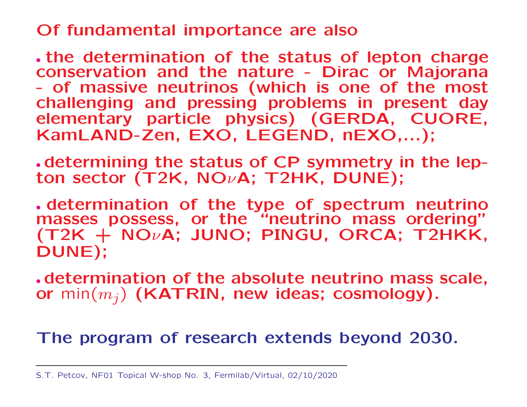#### Of fundamental importance are also

• the determination of the status of lepton charge conservation and the nature - Dirac or Majorana - of massive neutrinos (which is one of the most challenging and pressing problems in present day elementary particle physics) (GERDA, CUORE, KamLAND-Zen, EXO, LEGEND, nEXO,...);

• determining the status of CP symmetry in the lepton sector (T2K,  $NO\nu$ A; T2HK, DUNE);

• determination of the type of spectrum neutrino masses possess, or the "neutrino mass ordering" (T2K + NO <sup>ν</sup>A; JUNO; PINGU, ORCA; T2HKK, DUNE);

• determination of the absolute neutrino mass scale, or min $(m$  $_j)$  (KATRIN, new ideas; cosmology).

### The program of research extends beyond 2030.

S.T. Petcov, NF01 Topical W-shop No. 3, Fermilab/Virtual, 02/10/2020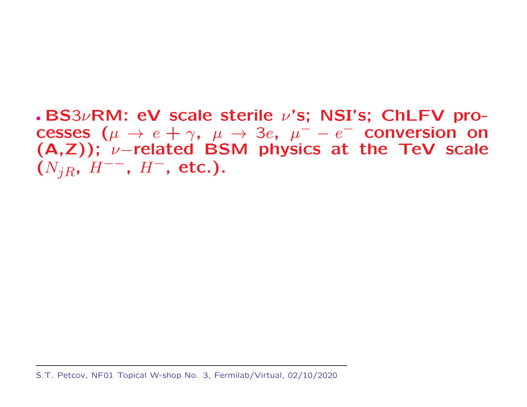• BS3 $\nu$ RM: eV scale sterile  $\nu$ 's; NSI's; ChLFV processes  $(\mu \rightarrow e + \gamma, \ \mu \rightarrow 3e, \ \mu^- - e^-$  conversion on  $(A,Z)$ );  $\nu$ -related BSM physics at the TeV scale  $(N_{jR}, H^{--}, H^-$ , etc.).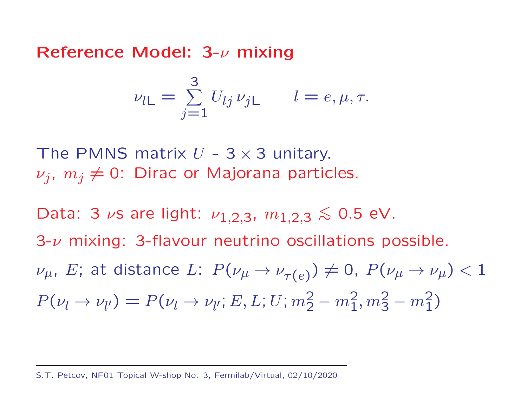#### Reference Model:  $3\nu$  mixing

$$
\nu_{l\mathsf{L}} = \sum_{j=1}^3 U_{lj} \nu_{j\mathsf{L}} \qquad l = e, \mu, \tau.
$$

The PMNS matrix  $U - 3 \times 3$  unitary.  $\nu_i$ ,  $m_j \neq 0$ : Dirac or Majorana particles.

Data: 3  $\nu$ s are light:  $\nu_{1,2,3}$ ,  $m_{1,2,3}$  ≤ 0.5 eV.  $3-\nu$  mixing: 3-flavour neutrino oscillations possible.  $\nu_{\mu}$ , E; at distance L:  $P(\nu_{\mu} \to \nu_{\tau(e)}) \neq 0$ ,  $P(\nu_{\mu} \to \nu_{\mu}) < 1$  $P(\nu_l \to \nu_{l'}) = P(\nu_l \to \nu_{l'}; E, L; U; m_2^2 - m_1^2, m_2^2 - m_1^2)$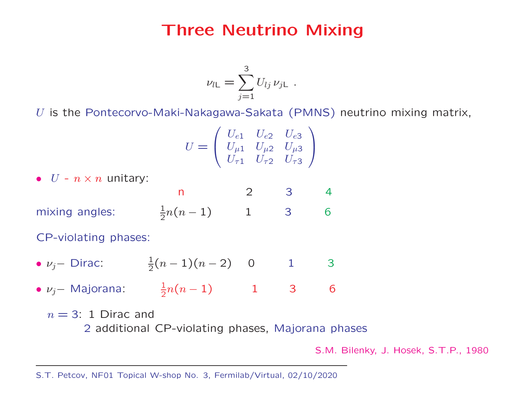#### Three Neutrino Mixing

$$
\nu_{l\mathsf{L}} = \sum_{j=1}^3 U_{lj} \, \nu_{j\mathsf{L}} \ .
$$

U is the Pontecorvo-Maki-Nakagawa-Sakata (PMNS) neutrino mixing matrix,

$$
U = \left(\begin{array}{ccc} U_{e1} & U_{e2} & U_{e3} \\ U_{\mu 1} & U_{\mu 2} & U_{\mu 3} \\ U_{\tau 1} & U_{\tau 2} & U_{\tau 3} \end{array}\right)
$$

•  $U - n \times n$  unitary:

n 2 3 4 mixing angles:  $\frac{1}{2}$  $\frac{1}{2}n(n-1)$  1 3 6

CP-violating phases:

- $\nu_j$  Dirac:  $\frac{1}{2}$  $\frac{1}{2}(n-1)(n-2)$  0 1 3
- $\nu_j$  Majorana:  $\frac{1}{2}$  $\frac{1}{2}n(n-1)$  1 3 6

 $n = 3: 1$  Dirac and

2 additional CP-violating phases, Majorana phases

S.M. Bilenky, J. Hosek, S.T.P., 1980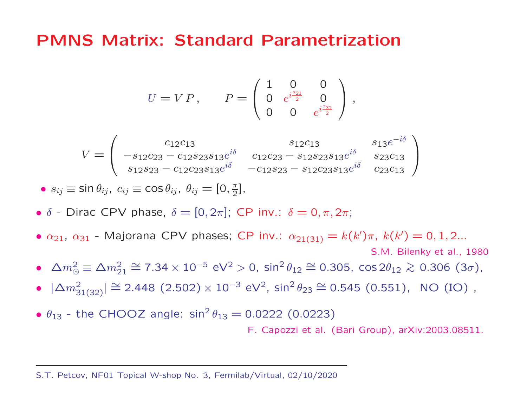#### PMNS Matrix: Standard Parametrization

$$
U = VP, \t P = \begin{pmatrix} 1 & 0 & 0 \\ 0 & e^{i\frac{\alpha_{21}}{2}} & 0 \\ 0 & 0 & e^{i\frac{\alpha_{31}}{2}} \end{pmatrix},
$$

$$
V = \begin{pmatrix} c_{12}c_{13} & s_{12}c_{13} & s_{13}e^{-i\delta} \\ -s_{12}c_{23} - c_{12}s_{23}s_{13}e^{i\delta} & c_{12}c_{23} - s_{12}s_{23}s_{13}e^{i\delta} & s_{23}c_{13} \\ s_{12}s_{23} - c_{12}c_{23}s_{13}e^{i\delta} & -c_{12}s_{23} - s_{12}c_{23}s_{13}e^{i\delta} & c_{23}c_{13} \end{pmatrix}
$$

• 
$$
s_{ij} \equiv \sin \theta_{ij}
$$
,  $c_{ij} \equiv \cos \theta_{ij}$ ,  $\theta_{ij} = [0, \frac{\pi}{2}]$ ,

- $\delta$  Dirac CPV phase,  $\delta = [0,2\pi]$ ; CP inv.:  $\delta = 0,\pi,2\pi;$
- $\bullet$   $\alpha_{21}, \ \alpha_{31}$  Majorana CPV phases; CP inv.:  $\alpha_{21(31)}$  $= k(k')\pi, k(k') = 0, 1, 2...$

S.M. Bilenky et al., 1980

- $\bullet$   $\Delta m^2$  $\frac{2}{\odot} \equiv \Delta m_2^2$  $\frac{2}{21} \cong 7.34 \times 10^{-5} \,\,{\rm eV^2} > 0, \,\,\sin^2\theta_{12} \cong 0.305, \,\,\cos 2\theta_{12} \gtrsim 0.306 \,\,(3\sigma),$
- $\bullet$   $|\Delta m_{3}^{2}|$  $\left| \frac{1}{31(32)} \right| \cong 2.448 \,\, (2.502) \times 10^{-3} \,\, {\rm eV}^2, \,\, \sin^2 \theta_{23} \cong 0.545 \,\, (0.551), \,\,$  NO (IO) ,
- $\theta_{13}$  the CHOOZ angle:  $\sin^2 \theta_{13} = 0.0222$  (0.0223)

F. Capozzi et al. (Bari Group), arXiv:2003.08511.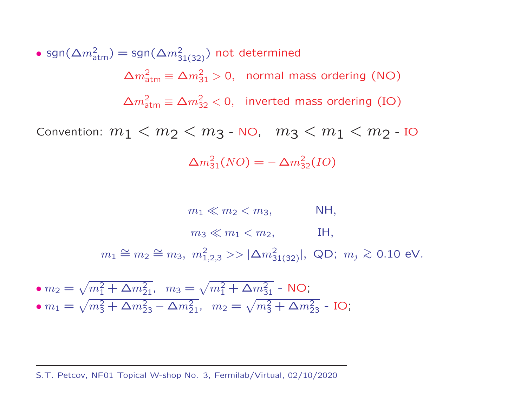• sgn $(\Delta m^2_{\rm atm})$  = sgn $(\Delta m^2_{31(32)})$  not determined  $\Delta m_{\text{atm}}^2 \equiv \Delta m_{31}^2 > 0$ , normal mass ordering (NO)  $\Delta m_{\text{atm}}^2 \equiv \Delta m_{32}^2 < 0$ , inverted mass ordering (IO) Convention:  $m_1 < m_2 < m_3$  - NO,  $m_3 < m_1 < m_2$  - IO

 $\Delta m_{31}^2(NO) = -\Delta m_{32}^2(IO)$ 

 $m_1 \ll m_2 < m_3$ , NH,  $m_3 \ll m_1 \lt m_2$ , IH,  $m_1\cong m_2\cong m_3,\,\, m_{1,2,3}^2 >> |\Delta m_{31(32)}^2|,\,\,{\text{QD}};\,\, m_j\,\gtrsim\,0.10\,$  eV.  $\overline{2 + 4}$   $\overline{2}$   $\overline{2 + 4}$   $\overline{2}$   $\overline{2}$   $\overline{2}$ 

• 
$$
m_2 = \sqrt{m_1^2 + \Delta m_{21}^2}
$$
,  $m_3 = \sqrt{m_1^2 + \Delta m_{31}^2}$  - NO;  
\n•  $m_1 = \sqrt{m_3^2 + \Delta m_{23}^2 - \Delta m_{21}^2}$ ,  $m_2 = \sqrt{m_3^2 + \Delta m_{23}^2}$  - IO;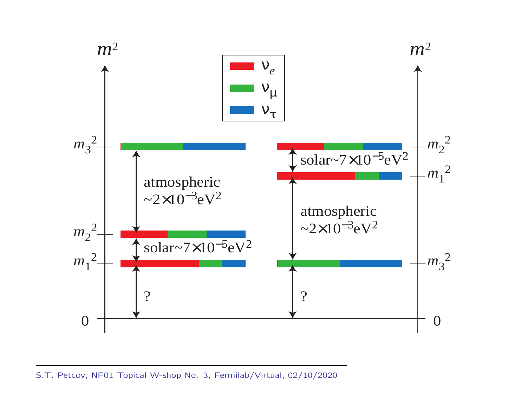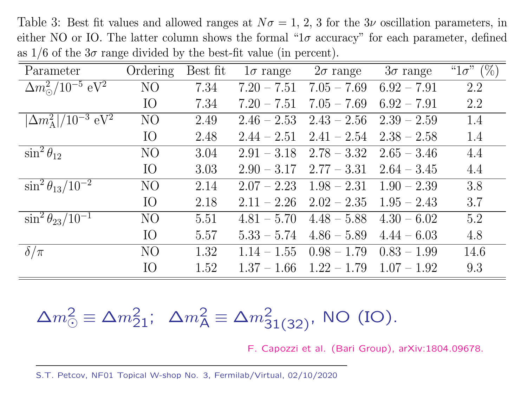Table 3: Best fit values and allowed ranges at  $N\sigma = 1, 2, 3$  for the  $3\nu$  oscillation parameters, in either NO or IO. The latter column shows the formal " $1\sigma$  accuracy" for each parameter, defined as  $1/6$  of the  $3\sigma$  range divided by the best-fit value (in percent).

| Parameter                                      | Ordering        | Best fit | $1\sigma$ range | $2\sigma$ range | $3\sigma$ range | " $1\sigma$ "<br>$(\%)$ |
|------------------------------------------------|-----------------|----------|-----------------|-----------------|-----------------|-------------------------|
| $\Delta m^2_{\odot}/10^{-5} \,\,{\rm eV^2}$    | NO              | 7.34     | $7.20 - 7.51$   | $7.05 - 7.69$   | $6.92 - 7.91$   | 2.2                     |
|                                                | IO              | 7.34     | $7.20 - 7.51$   | $7.05 - 7.69$   | $6.92 - 7.91$   | 2.2                     |
| $ \Delta m_{\rm A}^2  / 10^{-3} \; {\rm eV^2}$ | NO <sub>1</sub> | 2.49     | $2.46 - 2.53$   | $2.43 - 2.56$   | $2.39 - 2.59$   | 1.4                     |
|                                                | IO              | 2.48     | $2.44 - 2.51$   | $2.41 - 2.54$   | $2.38 - 2.58$   | 1.4                     |
| $\sin^2\theta_{12}$                            | NO              | 3.04     | $2.91 - 3.18$   | $2.78 - 3.32$   | $2.65 - 3.46$   | 4.4                     |
|                                                | IO              | 3.03     | $2.90 - 3.17$   | $2.77 - 3.31$   | $2.64 - 3.45$   | 4.4                     |
| $\sin^2 \theta_{13}/10^{-2}$                   | NO              | 2.14     | $2.07 - 2.23$   | $1.98 - 2.31$   | $1.90 - 2.39$   | 3.8                     |
|                                                | IO              | 2.18     | $2.11 - 2.26$   | $2.02 - 2.35$   | $1.95 - 2.43$   | 3.7                     |
| $\sin^2 \theta_{23}/10^{-1}$                   | NO <sub>1</sub> | 5.51     | $4.81 - 5.70$   | $4.48 - 5.88$   | $4.30 - 6.02$   | 5.2                     |
|                                                | IO              | 5.57     | $5.33 - 5.74$   | $4.86 - 5.89$   | $4.44 - 6.03$   | 4.8                     |
| $\delta/\pi$                                   | NO <sub>1</sub> | 1.32     | $1.14 - 1.55$   | $0.98 - 1.79$   | $0.83 - 1.99$   | 14.6                    |
|                                                | IO              | 1.52     | $1.37 - 1.66$   | $1.22 - 1.79$   | $1.07 - 1.92$   | 9.3                     |

$$
\Delta m_{\odot}^2 \equiv \Delta m_{21}^2; \quad \Delta m_{\mathsf{A}}^2 \equiv \Delta m_{31(32)}^2, \text{ NO (IO)}.
$$

F. Capozzi et al. (Bari Group), arXiv:1804.09678.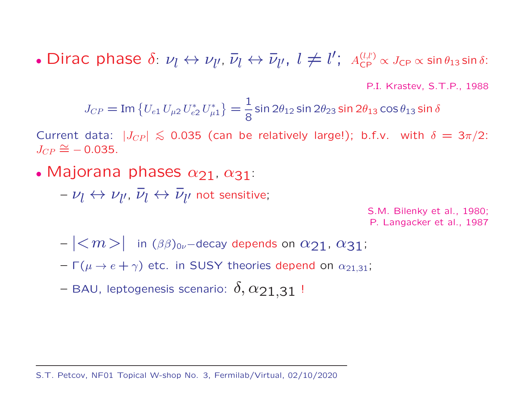• Dirac phase  $\delta: \nu_l \leftrightarrow \nu_{l'}, \bar{\nu}_l \leftrightarrow \bar{\nu}_{l'}, l \neq l'; A_{\text{CP}}^{(l,l')} \propto J_{\text{CP}} \propto \sin \theta_{13} \sin \delta$ : P.I. Krastev, S.T.P., 1988

$$
J_{CP} = \text{Im} \left\{ U_{e1} U_{\mu 2} U_{e2}^* U_{\mu 1}^* \right\} = \frac{1}{8} \sin 2\theta_{12} \sin 2\theta_{23} \sin 2\theta_{13} \cos \theta_{13} \sin \delta
$$

Current data:  $|J_{CP}| \lesssim 0.035$  (can be relatively large!); b.f.v. with  $\delta = 3\pi/2$ :  $J_{CP} \cong$  − 0.035.

• Majorana phases  $\alpha_{21}, \alpha_{31}$ :

$$
- \nu_l \leftrightarrow \nu_{l'}, \bar{\nu}_l \leftrightarrow \bar{\nu}_{l'} \text{ not sensitive};
$$

S.M. Bilenky et al., 1980; P. Langacker et al., 1987

- $|1 |\langle m \rangle|$  in  $(\beta \beta)_{0\nu}$ -decay depends on  $\alpha_{21}$ ,  $\alpha_{31}$ ;
- $\Gamma(\mu \to e + \gamma)$  etc. in SUSY theories depend on  $\alpha_{21,31}$ ;
- BAU, leptogenesis scenario:  $\delta$ ,  $\alpha_{21,31}$ !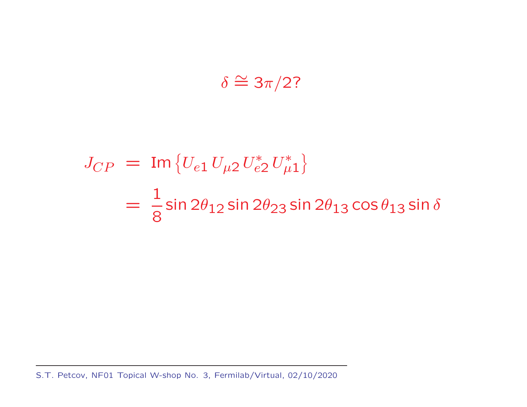$$
\delta \cong 3\pi/2?
$$

$$
J_{CP} = \text{Im} \{ U_{e1} U_{\mu 2} U_{e2}^* U_{\mu 1}^* \}
$$
  
=  $\frac{1}{8} \sin 2\theta_{12} \sin 2\theta_{23} \sin 2\theta_{13} \cos \theta_{13} \sin \delta$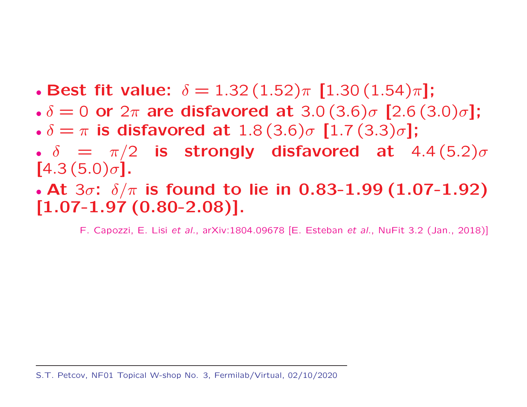- Best fit value:  $\delta = 1.32 (1.52) \pi$  [1.30 (1.54) $\pi$ ];
- $\delta = 0$  or  $2\pi$  are disfavored at  $3.0\,(3.6)\sigma$  [2.6(3.0) $\sigma$ ];
- $\delta = \pi$  is disfavored at  $1.8(3.6)\sigma$  [1.7 (3.3) $\sigma$ ];
- $\delta$  =  $\pi/2$  is strongly disfavored at 4.4 (5.2) $\sigma$  $[4.3 (5.0) \sigma]$ .
- At  $3\sigma$ :  $\delta/\pi$  is found to lie in 0.83-1.99 (1.07-1.92)  $[1.07-1.97(0.80-2.08)].$

F. Capozzi, E. Lisi et al., arXiv:1804.09678 [E. Esteban et al., NuFit 3.2 (Jan., 2018)]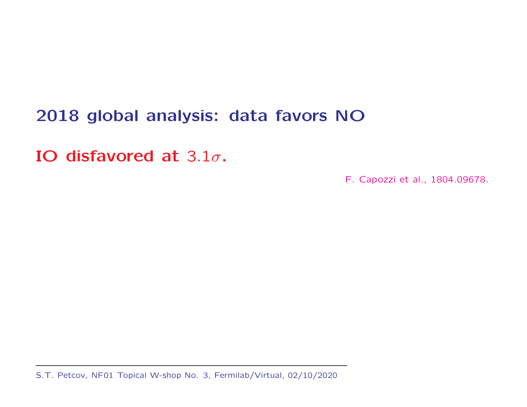### <sup>2018</sup> global analysis: data favors NO

IO disfavored at  $3.1\sigma$ .

F. Capozzi et al., 1804.09678.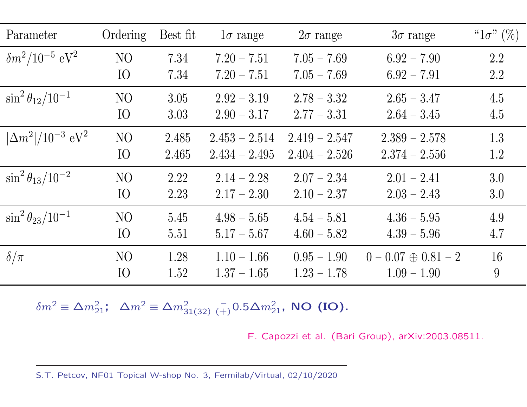| Parameter                              | Ordering       | Best fit | $1\sigma$ range | $2\sigma$ range | $3\sigma$ range            | " $1\sigma$ " (%) |
|----------------------------------------|----------------|----------|-----------------|-----------------|----------------------------|-------------------|
| $\delta m^2/10^{-5} \text{ eV}^2$      | NO             | 7.34     | $7.20 - 7.51$   | $7.05 - 7.69$   | $6.92 - 7.90$              | 2.2               |
|                                        | IO             | 7.34     | $7.20 - 7.51$   | $7.05 - 7.69$   | $6.92 - 7.91$              | 2.2               |
| $\sin^2 \theta_{12}/10^{-1}$           | N <sub>O</sub> | 3.05     | $2.92 - 3.19$   | $2.78 - 3.32$   | $2.65 - 3.47$              | 4.5               |
|                                        | IO             | 3.03     | $2.90 - 3.17$   | $2.77 - 3.31$   | $2.64 - 3.45$              | 4.5               |
| $ \Delta m^2 /10^{-3}$ eV <sup>2</sup> | N <sub>O</sub> | 2.485    | $2.453 - 2.514$ | $2.419 - 2.547$ | $2.389 - 2.578$            | 1.3               |
|                                        | IO             | 2.465    | $2.434 - 2.495$ | $2.404 - 2.526$ | $2.374 - 2.556$            | 1.2               |
| $\sin^2 \theta_{13}/10^{-2}$           | N <sub>O</sub> | 2.22     | $2.14 - 2.28$   | $2.07 - 2.34$   | $2.01 - 2.41$              | 3.0               |
|                                        | IO             | 2.23     | $2.17 - 2.30$   | $2.10 - 2.37$   | $2.03 - 2.43$              | 3.0               |
| $\sin^2 \theta_{23} / 10^{-1}$         | N <sub>O</sub> | 5.45     | $4.98 - 5.65$   | $4.54 - 5.81$   | $4.36 - 5.95$              | 4.9               |
|                                        | IO             | 5.51     | $5.17 - 5.67$   | $4.60 - 5.82$   | $4.39 - 5.96$              | 4.7               |
| $\delta/\pi$                           | N <sub>O</sub> | 1.28     | $1.10 - 1.66$   | $0.95 - 1.90$   | $0 - 0.07 \oplus 0.81 - 2$ | 16                |
|                                        | IO             | 1.52     | $1.37 - 1.65$   | $1.23 - 1.78$   | $1.09 - 1.90$              | 9                 |

 $\delta m^2 \equiv \Delta m_{21}^2$ ;  $\Delta m^2 \equiv \Delta m_{31(32)(+)}^2 0.5 \Delta m_{21}^2$ , NO (IO).

F. Capozzi et al. (Bari Group), arXiv:2003.08511.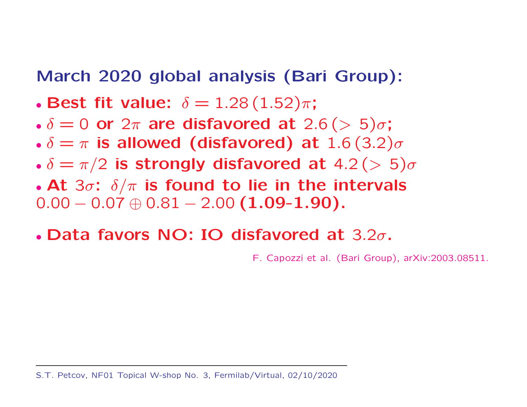March 2020 global analysis (Bari Group):

- Best fit value:  $\delta = 1.28\,(1.52)\pi$ ;
- $\cdot \delta = 0$  or  $2\pi$  are disfavored at  $2.6 (> 5)\sigma$ ;
- $\delta = \pi$  is allowed (disfavored) at  $1.6 (3.2) \sigma$
- $\delta = \pi/2$  is strongly disfavored at  $4.2$  ( $> 5)\sigma$
- At 3 $\sigma$ :  $\delta/\pi$  is found to lie in the intervals  $0.00-0.07 \oplus 0.81-2.00~({\bf 1.09\textrm{-}1.90}).$
- Data favors NO: IO disfavored at 3.2 $\sigma$ .

F. Capozzi et al. (Bari Group), arXiv:2003.08511.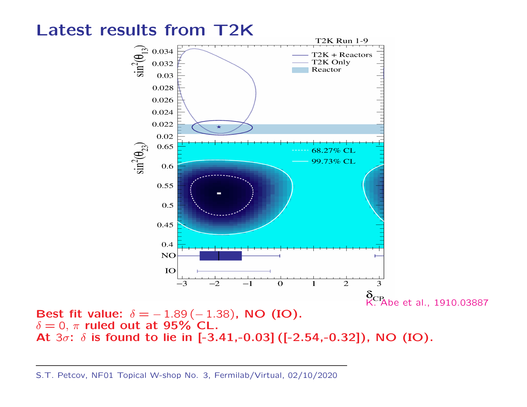

At  $3\sigma$ :  $\delta$  is found to lie in [-3.41,-0.03] ([-2.54,-0.32]), NO (IO).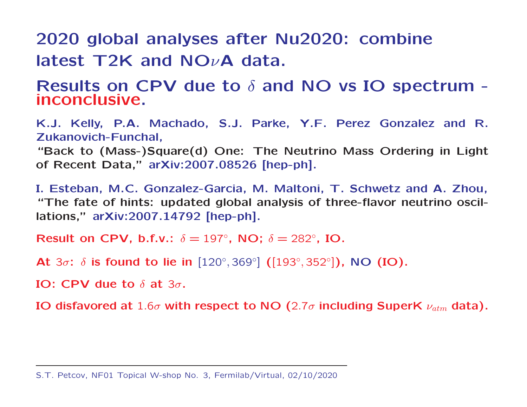## 2020 global analyses after Nu2020: combine latest T2K and NO $\nu$ A data.

#### Results on CPV due to  $\delta$  and NO vs IO spectrum inconclusive.

K.J. Kelly, P.A. Machado, S.J. Parke, Y.F. Perez Gonzalez and R. Zukanovich-Funchal,

"Back to (Mass-)Square(d) One: The Neutrino Mass Ordering in Light of Recent Data," arXiv:2007.08526 [hep-ph].

I. Esteban, M.C. Gonzalez-Garcia, M. Maltoni, T. Schwetz and A. Zhou, "The fate of hints: updated global analysis of three-flavor neutrino oscillations," arXiv:2007.14792 [hep-ph].

Result on CPV, b.f.v.:  $\delta=197^\circ$ , NO;  $\delta=282^\circ$ , IO.

At  $3\sigma$ :  $\delta$  is found to lie in  $[120^\circ, 369^\circ]$  ( $[193^\circ, 352^\circ]$ ), NO (IO).

IO: CPV due to  $\delta$  at 3 $\sigma$ .

IO disfavored at  $1.6\sigma$  with respect to NO (2.7 $\sigma$  including SuperK  $\nu_{atm}$  data).

S.T. Petcov, NF01 Topical W-shop No. 3, Fermilab/Virtual, 02/10/2020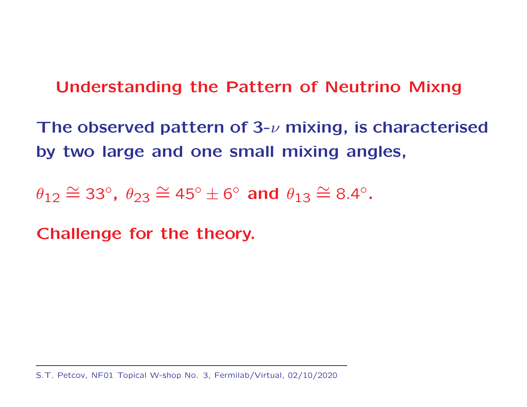#### Understanding the Pattern of Neutrino Mixng

The observed pattern of 3- $\nu$  mixing, is characterised by two large and one small mixing angles,

 $\theta_{12} \cong 33$ °,  $\theta_{23} \cong 45$  $^{\circ}$   $\pm$  6 $^{\circ}$  and  $\theta_{13} \cong$  8.4 $^{\circ}$ .

Challenge for the theory.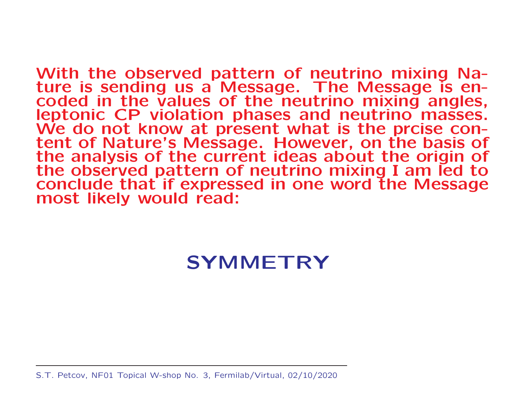With the observed pattern of neutrino mixing Nature is sending us <sup>a</sup> Message. The Message is encoded in the values of the neutrino mixing angles, leptonic CP violation phases and neutrino masses. We do not know at present what is the prcise content of Nature's Message. However, on the basis of the analysis of the current ideas about the origin of the observed pattern of neutrino mixing I am led to conclude that if expressed in one word the Message most likely would read:

# SYMMETRY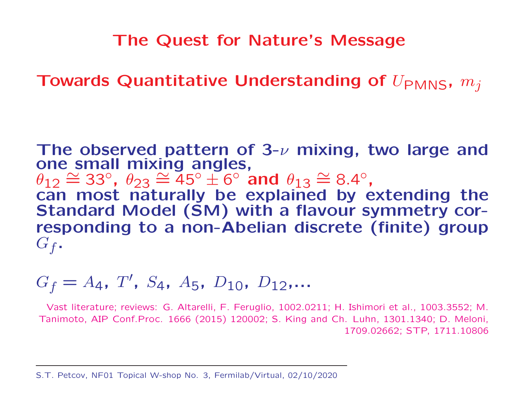The Quest for Nature's Message

Towards Quantitative Understanding of  $U_{\mathsf{PMNS}}$ ,  $m_j$ 

The observed pattern of 3- $\nu$  mixing, two large and one small mixing angles,  $\theta_{12} \cong 33$  $\frac{1}{2}$ °,  $\theta_{23} \cong 45$  $^{\circ}$   $\pm$  6 $^{\circ}$  and  $\theta_{13} \cong$  8.4 $^{\circ}$ , can most naturally be explained by extending the Standard Model (SM) with <sup>a</sup> flavour symmetry corresponding to <sup>a</sup> non-Abelian discrete (finite) group G  $f$  .

#### G  $\boldsymbol{f}$  $=A_4, T', S_4, A_5, D_{10}, D_{12},...$

Vast literature; reviews: G. Altarelli, F. Feruglio, 1002.0211; H. Ishimori et al., 1003.3552; M. Tanimoto, AIP Conf.Proc. 1666 (2015) 120002; S. King and Ch. Luhn, 1301.1340; D. Meloni, 1709.02662; STP, 1711.10806

S.T. Petcov, NF01 Topical W-shop No. 3, Fermilab/Virtual, 02/10/2020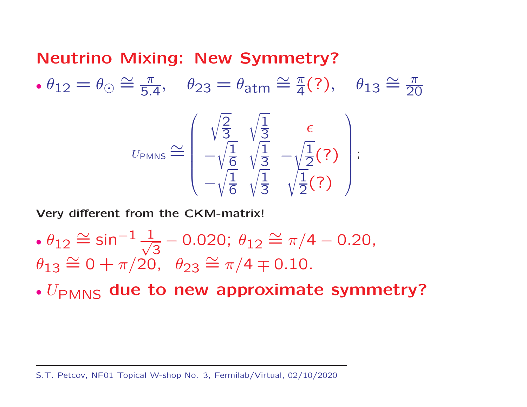#### Neutrino Mixing: New Symmetry?

 $\overline{\theta}_{12} = \theta_{\odot}$  $\cong \frac{\pi}{5.4}$ ,  $\theta_{23} = \theta_{\text{atm}} \cong \frac{\pi}{4}$ (?),  $\theta_{13}$  $\approx \frac{\pi}{2}$ 20

$$
U_{PMNS} \simeq \left(\begin{array}{cc} \sqrt{\frac{2}{3}} & \sqrt{\frac{1}{3}} & \epsilon \\ -\sqrt{\frac{1}{6}} & \sqrt{\frac{1}{3}} & -\sqrt{\frac{1}{2}}(?) \\ -\sqrt{\frac{1}{6}} & \sqrt{\frac{1}{3}} & \sqrt{\frac{1}{2}}(?) \end{array}\right);
$$

Very different from the CKM-matrix!

- $\cdot$   $\theta_{12} \cong$  sin $^{-1} \frac{1}{\sqrt{3}}$  $-$  0.020;  $θ<sub>12</sub> ≝ π/4 - 0.20$ ,  $\theta_{13} \cong 0 + \pi/20, \ \ \theta_{23} \cong \pi/4 \mp 0.10.$
- $\bullet$   $U_{\mathsf{PMNS}}$  due to new approximate symmetry?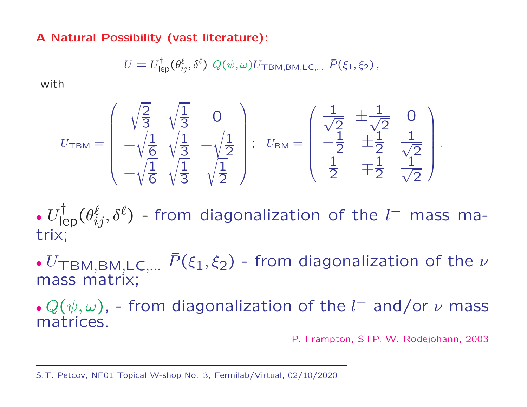#### A Natural Possibility (vast literature):

$$
U = U_{\mathsf{lep}}^{\dagger}(\theta_{ij}^{\ell}, \delta^{\ell}) \ Q(\psi, \omega) U_{\mathsf{TBM}, \mathsf{BM}, \mathsf{LC}, \dots} \ \bar{P}(\xi_1, \xi_2) \,,
$$

with

$$
U_{\text{TBM}} = \left(\begin{array}{ccc} \sqrt{\frac{2}{3}} & \sqrt{\frac{1}{3}} & 0 \\ -\sqrt{\frac{1}{6}} & \sqrt{\frac{1}{3}} & -\sqrt{\frac{1}{2}} \\ -\sqrt{\frac{1}{6}} & \sqrt{\frac{1}{3}} & \sqrt{\frac{1}{2}} \end{array}\right); \quad U_{\text{BM}} = \left(\begin{array}{ccc} \frac{1}{\sqrt{2}} & \pm \frac{1}{\sqrt{2}} & 0 \\ -\frac{1}{2} & \pm \frac{1}{2} & \frac{1}{\sqrt{2}} \\ \frac{1}{2} & \mp \frac{1}{2} & \frac{1}{\sqrt{2}} \end{array}\right)
$$

 $\bullet$   $U$ †  $\int_{\text{lep}}^{\uparrow}(\theta_{ij}^{\ell},\delta^{\ell})$  - from diagonalization of the  $l$ − mass matrix;

•  $U_{\mathsf{TBM},\mathsf{BM},\mathsf{LC},\dots}$   $\bar{P}(\xi_1,\xi_2)$  - from diagonalization of the  $\nu$ mass matrix;

•  $Q(\psi, \omega)$ , - from diagonalization of the  $l^-$  and/or  $\nu$  mass matrices.

P. Frampton, STP, W. Rodejohann, 2003

.

S.T. Petcov, NF01 Topical W-shop No. 3, Fermilab/Virtual, 02/10/2020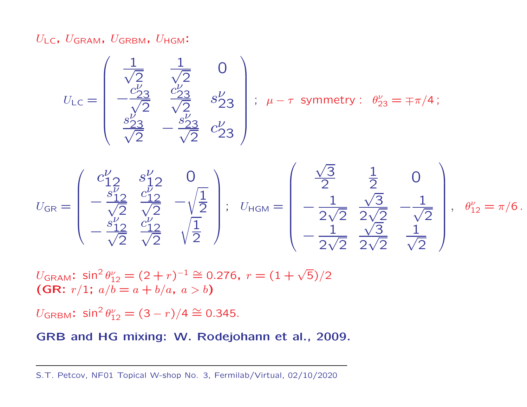$U_{\mathsf{LC}}$ ,  $U_{\mathsf{GRAM}}$ ,  $U_{\mathsf{GRBM}}$ ,  $U_{\mathsf{HGM}}$ :

$$
U_{LC} = \begin{pmatrix} \frac{1}{\sqrt{2}} & \frac{1}{\sqrt{2}} & 0 \\ -\frac{c_{23}^{\nu}}{\sqrt{2}} & \frac{c_{23}^{\nu}}{\sqrt{2}} & s_{23}^{\nu} \\ \frac{s_{23}^{\nu}}{\sqrt{2}} & -\frac{s_{23}^{\nu}}{\sqrt{2}} & c_{23}^{\nu} \end{pmatrix}; \ \mu - \tau \text{ symmetry}: \ \theta_{23}^{\nu} = \pm \pi/4;
$$
  

$$
U_{GR} = \begin{pmatrix} c_{12}^{\nu} & s_{12}^{\nu} & 0 \\ -\frac{s_{12}^{\nu}}{\sqrt{2}} & \frac{c_{12}^{\nu}}{\sqrt{2}} & -\sqrt{\frac{1}{2}} \\ -\frac{s_{12}^{\nu}}{\sqrt{2}} & \frac{c_{12}^{\nu}}{\sqrt{2}} & \sqrt{\frac{1}{2}} \end{pmatrix}; \ \ U_{HGM} = \begin{pmatrix} \frac{\sqrt{3}}{2} & \frac{1}{2} & 0 \\ -\frac{1}{2\sqrt{2}} & \frac{\sqrt{3}}{2\sqrt{2}} & -\frac{1}{\sqrt{2}} \\ -\frac{1}{2\sqrt{2}} & \frac{\sqrt{3}}{2\sqrt{2}} & \frac{1}{\sqrt{2}} \end{pmatrix}, \ \ \theta_{12}^{\nu} = \pi/6.
$$

$$
U_{\text{GRAM}}: \sin^2 \theta_{12}^{\nu} = (2+r)^{-1} \cong 0.276, r = (1+\sqrt{5})/2
$$
  
(GR: r/1; a/b = a + b/a, a > b)

U<sub>GRBM</sub>: sin<sup>2</sup>  $\theta_{12}^{\nu} = (3 - r)/4 \approx 0.345$ .

GRB and HG mixing: W. Rodejohann et al., 2009.

S.T. Petcov, NF01 Topical W-shop No. 3, Fermilab/Virtual, 02/10/2020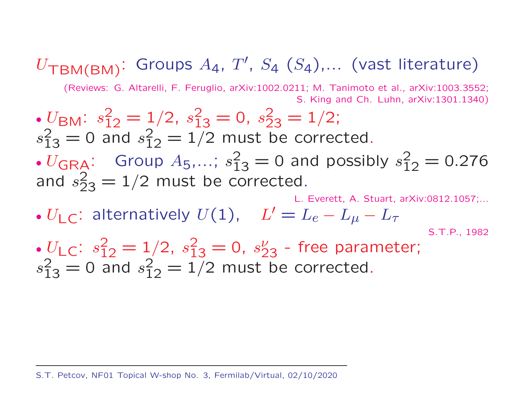# $U<sub>TBM(BM)</sub>: Groups A<sub>4</sub>, T', S<sub>4</sub> (S<sub>4</sub>),... (vast literature)$

(Reviews: G. Altarelli, F. Feruglio, arXiv:1002.0211; M. Tanimoto et al., arXiv:1003.3552; S. King and Ch. Luhn, arXiv:1301.1340)

- $U_{BM}$ :  $s_{12}^2 = 1/2$ ,  $s_{13}^2 = 0$ ,  $s_{23}^2 = 1/2$ ;  $s_{13}^2 = 0$  and  $s_{12}^2 = 1/2$  must be corrected. •  $U_{\text{GRA}}$ : Group  $A_5, \ldots, s_{13}^2 = 0$  and possibly  $s_{12}^2 = 0.276$ and  $s_{23}^2 = 1/2$  must be corrected. L. Everett, A. Stuart, arXiv:0812.1057;...
- $U_1$  c: alternatively  $U(1)$ ,  $L' = L_e L_\mu L_\tau$

S.T.P., 1982

•  $U_{\text{LC}}$ :  $s_{12}^2 = 1/2$ ,  $s_{13}^2 = 0$ ,  $s_{23}^{\nu}$  - free parameter;  $s_{13}^2 = 0$  and  $s_{12}^2 = 1/2$  must be corrected.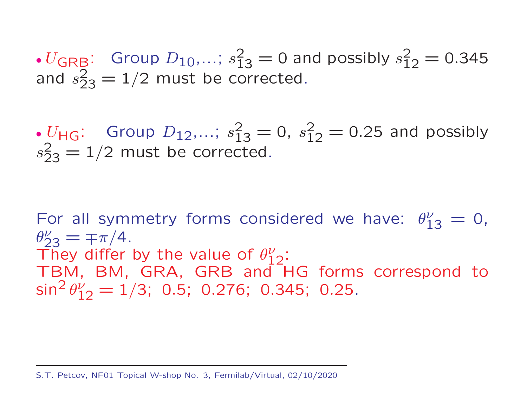•  $U_{\text{GRB}}$ : Group  $D_{10}$ ,...;  $s_{13}^2 = 0$  and possibly  $s_{12}^2 = 0.345$ and  $s_{23}^2 = 1/2$  must be corrected.

•  $U_{\text{HG}}$ : Group  $D_{12},...$ ;  $s_{13}^2 = 0$ ,  $s_{12}^2 = 0.25$  and possibly  $s_{23}^2 = 1/2$  must be corrected.

For all symmetry forms considered we have:  $\theta_{13}^{\nu} = 0$ ,  $\theta_{23}^{\nu} = \mp \pi/4.$ They differ by the value of  $\theta_{12}^{\nu}$ : TBM, BM, GRA, GRB and HG forms correspond to  $\sin^2 \theta_{12}^{\nu} = 1/3$ ; 0.5; 0.276; 0.345; 0.25.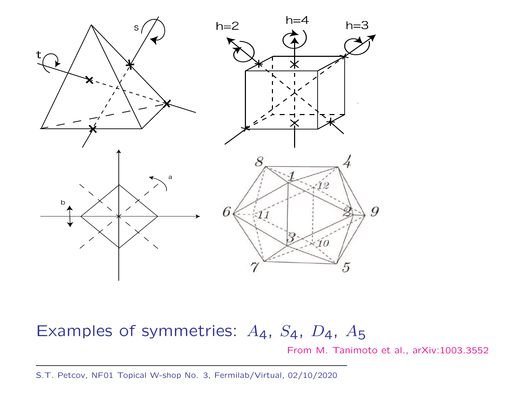

## Examples of symmetries:  $A_4$ ,  $S_4$ ,  $D_4$ ,  $A_5$

From M. Tanimoto et al., arXiv:1003.3552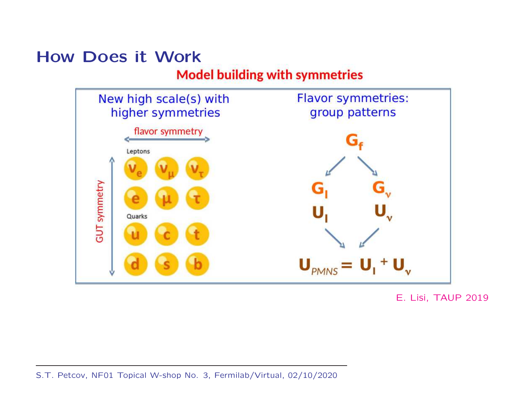#### How Does it Work

#### **Model building with symmetries**



E. Lisi, TAUP 2019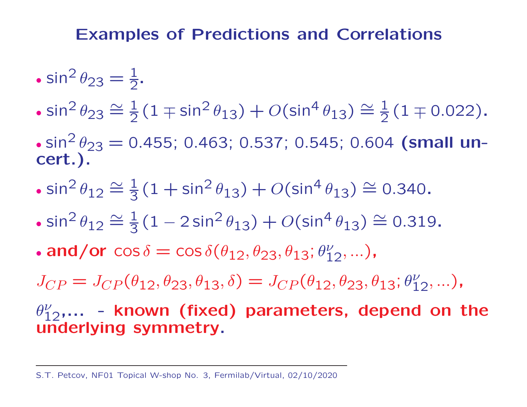#### Examples of Predictions and Correlations

- $\cdot$  sin $^2\,\theta_{23}= \frac{1}{2}$  $\overline{2}$  .
- $\sin^2\theta_{23} \cong \frac{1}{2}(1 \mp \sin^2\theta_{13}) + O(\sin^4\theta_{13}) \cong \frac{1}{2}(1 \mp 0.022)$ .
- $\cdot$  sin $^2\,\theta_{23} =$  0.455; 0.463; 0.537; 0.545; 0.604 (small uncert.).
- $\sin^2 \theta_{12} \cong \frac{1}{3} (1 + \sin^2 \theta_{13}) + O(\sin^4 \theta_{13}) \cong 0.340$ .
- $\sin^2 \theta_{12} \cong \frac{1}{3} (1 2 \sin^2 \theta_{13}) + O(\sin^4 \theta_{13}) \cong 0.319$ .
- $\bullet$  and/or  $\cos\delta=\cos\delta(\theta_{12},\theta_{23},\theta_{13};\theta^{\nu}_{12},...)$  ,

 $J_{CP} = J_{CP}(\theta_{12}, \theta_{23}, \theta_{13}, \delta) = J_{CP}(\theta_{12}, \theta_{23}, \theta_{13}; \theta_{12}^{\nu}, \ldots),$ 

 $\theta^{\nu}_{12},...$  - known (fixed) parameters, depend on the underlying symmetry.

S.T. Petcov, NF01 Topical W-shop No. 3, Fermilab/Virtual, 02/10/2020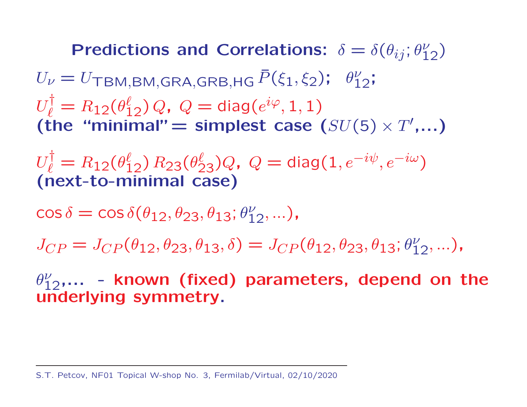Predictions and Correlations:  $\delta = \delta(\theta_{ij}; \theta_1^{\nu})$  $_{12}^{\nu})$  $U_{\nu} = U_{\text{TBM,BM,GRA,GRB,HG}} \, \bar{P}(\xi_1, \xi_2)$ ;  $\theta_1^{\nu}$ ,<br>12,  $\,U\,$ †  $\ell$  $=R_{12}(\theta_1^{\ell})$  $_{12}^\ell)$   $Q$ ,  $\,Q = \textsf{diag}(e^{i \varphi},1,1)$ (the "minimal" = simplest case  $(SU(5) \times T',\ldots)$ 

 $\,U\,$ †  $\ell$  $=R_{12}(\theta_1^{\ell})$  $_{12}^{\ell})$   $R_{23}(\theta_2^{\ell})$  $\ell_{23}^{\ell})Q$ ,  $Q = \mathsf{diag}(1,e^{-i\psi})$  $^{\prime}, e$  $-i\omega)$ (next-to-minimal case)

 $\cos\delta=\cos\delta(\theta_{12},\theta_{23},\theta_{13};\theta^{\nu}_{12},...)$  ,

 $J_{CP} = J_{CP}(\theta_{12}, \theta_{23}, \theta_{13}, \delta) = J_{CP}(\theta_{12}, \theta_{23}, \theta_{13}; \theta_{12}^{\nu}, \ldots),$ 

 $\theta^{\nu}_{12},...$  - known (fixed) parameters, depend on the underlying symmetry.

S.T. Petcov, NF01 Topical W-shop No. 3, Fermilab/Virtual, 02/10/2020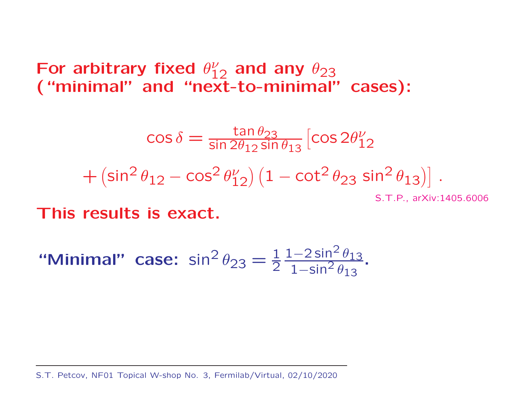For arbitrary fixed  $\theta_{12}^{\nu}$  and any  $\theta_{23}$ ("minimal" and "next-to-minimal" cases):

$$
\cos \delta = \frac{\tan \theta_{23}}{\sin 2\theta_{12} \sin \theta_{13}} [\cos 2\theta_{12}^{\nu} \n+ (\sin^2 \theta_{12} - \cos^2 \theta_{12}^{\nu}) (1 - \cot^2 \theta_{23} \sin^2 \theta_{13})].
$$
\nS.T.P., arXiv:1405.6006

This results is exact.

"Minimal" case: 
$$
\sin^2 \theta_{23} = \frac{1}{2} \frac{1 - 2 \sin^2 \theta_{13}}{1 - \sin^2 \theta_{13}}
$$
.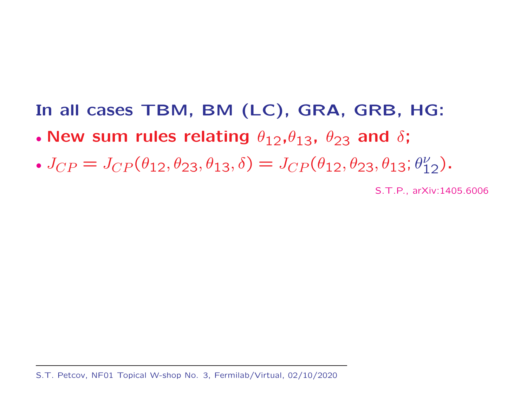In all cases TBM, BM (LC), GRA, GRB, HG:

- New sum rules relating  $\theta_{12}$ , $\theta_{13}$ ,  $\theta_{23}$  and  $\delta$ ;
- $J_{CP} = J_{CP}(\theta_{12}, \theta_{23}, \theta_{13}, \delta) = J_{CP}(\theta_{12}, \theta_{23}, \theta_{13}; \theta_{13}^{\nu})$  $_{12}^{\nu}).$

S.T.P., arXiv:1405.6006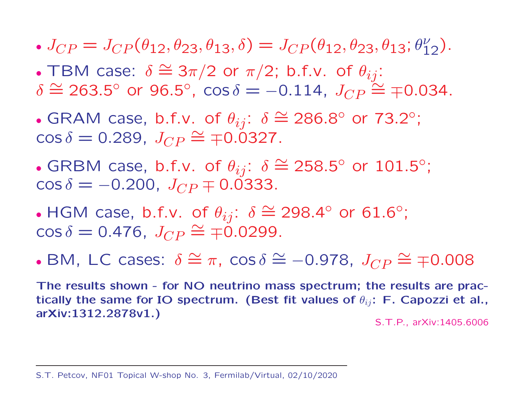- $J_{CP} = J_{CP}(\theta_{12}, \theta_{23}, \theta_{13}, \delta) = J_{CP}(\theta_{12}, \theta_{23}, \theta_{13}; \theta_{12}).$
- TBM case:  $\delta \cong 3\pi/2$  or  $\pi/2$ ; b.f.v. of  $\theta_{ij}$ :
- $\delta \cong 263.5^{\circ}$  or 96.5°, cos  $\delta = -0.114$ ,  $J_{CP} \cong \pm 0.034$ .
- GRAM case, b.f.v. of  $\theta_{ij}$ :  $\delta \cong 286.8^{\circ}$  or 73.2°;  $\cos \delta = 0.289, J_{CP} \cong \pm 0.0327.$
- GRBM case, b.f.v. of  $\theta_{ij}$ :  $\delta \cong 258.5^{\circ}$  or 101.5°;  $\cos \delta = -0.200$ ,  $J_{CP} \mp 0.0333$ .
- HGM case, b.f.v. of  $\theta_{ij}$ :  $\delta \cong 298.4^{\circ}$  or 61.6°;  $\cos \delta = 0.476$ ,  $J_{CP} \cong \pm 0.0299$ .
- BM, LC cases:  $\delta \cong \pi$ , cos  $\delta \cong -0.978$ ,  $J_{CP} \cong \pm 0.008$

The results shown - for NO neutrino mass spectrum; the results are practically the same for IO spectrum. (Best fit values of  $\theta_{ii}$ : F. Capozzi et al., **arXiv:1312.2878v1.)** S.T.P., arXiv:1405.6006

S.T. Petcov, NF01 Topical W-shop No. 3, Fermilab/Virtual, 02/10/2020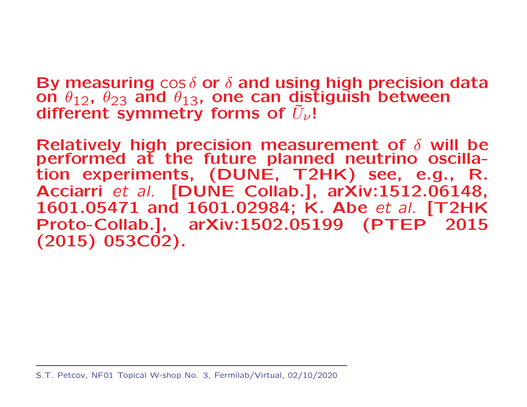By measuring  $\cos \delta$  or  $\delta$  and using high precision data on  $\theta_{12}$ ,  $\theta_{23}$  and  $\theta_{13}$ , one can distiguish between different symmetry forms of  $\tilde{U}_\nu$ !

Relatively high precision measurement of  $\delta$  will be performed at the future planned neutrino oscillation experiments, (DUNE, T2HK) see, e.g., R. Acciarri et al. [DUNE Collab.], arXiv:1512.06148, 1601.05471 and 1601.02984; K. Abe et al. [T2HK Proto-Collab.], arXiv:1502.05199 (PTEP 2015 (2015) 053C02).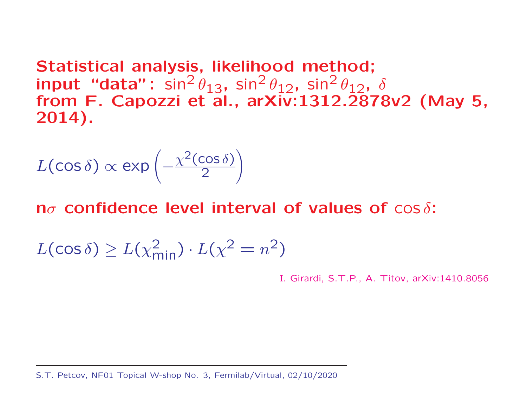Statistical analysis, likelihood method; <code>input "data":</code> <code>sin $^2\,\theta_{13}$ , sin $^2\,\theta_{12}$ , sin $^2\,\theta_{12}$ ,  $\delta$ </code> from F. Capozzi et al., arXiv:1312.2878v2 (May 5, 2014).

$$
L(\cos \delta) \propto \exp\left(-\frac{\chi^2(\cos \delta)}{2}\right)
$$

n $\sigma$  confidence level interval of values of  $\cos \delta$ :

$$
L(\cos \delta) \ge L(\chi^2_{\min}) \cdot L(\chi^2 = n^2)
$$

I. Girardi, S.T.P., A. Titov, arXiv:1410.8056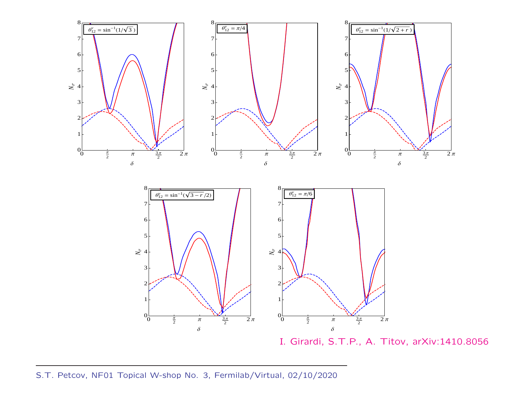

I. Girardi, S.T.P., A. Titov, arXiv:1410.8056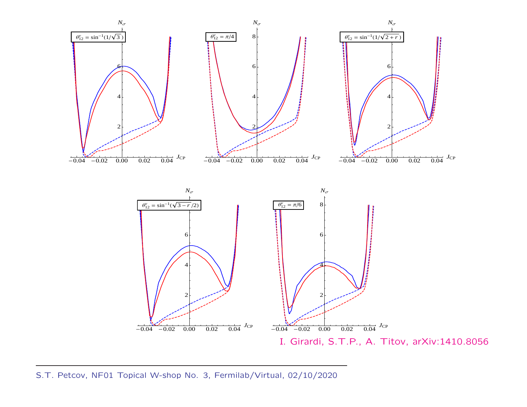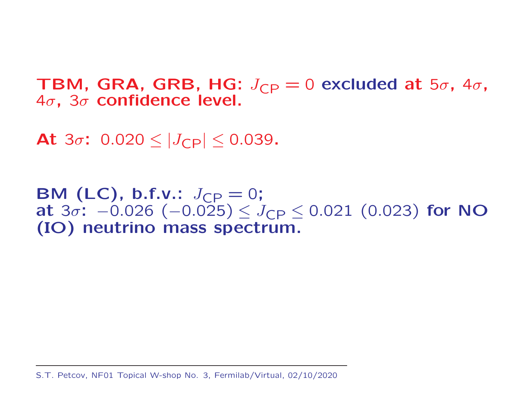TBM, GRA, GRB, HG:  $J_{\textsf{CP}}=0$  excluded at  $5\sigma$ , 4 $\sigma$ , 4 $\sigma$ , 3 $\sigma$  confidence level.

**At** 3 $\sigma$ : 0.020  $\leq$   $|J_{\mathsf{CP}}| \leq$  0.039.

 $\textsf{BM}\,\,(\textsf{LC})\text{, b.f.v.:}\,\,J_{\textsf{CP}}=0;$ at  $3\sigma$ :  $-0.026$  ( $-0.025$ )  $\leq J_{\text{CP}} \leq 0.021$  (0.023) for NO (IO) neutrino mass spectrum.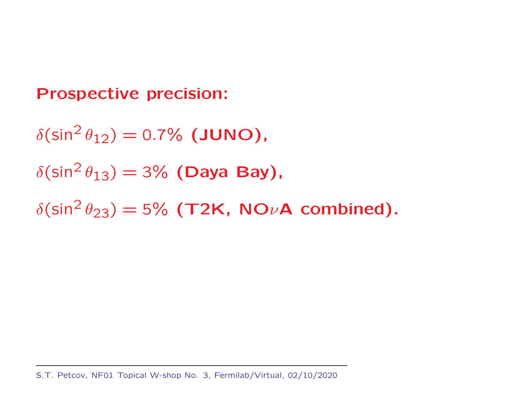#### Prospective precision:

 $\delta(\sin^2\theta_{12})=$  0.7% (JUNO),  $\delta(\sin^2\theta_{13})=3\%$  (Daya Bay),  $\delta(\sin^2\theta_{23})=5\%$  (T2K, NO $\nu$ A combined).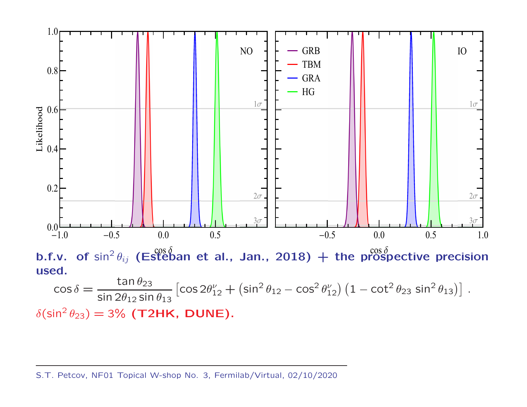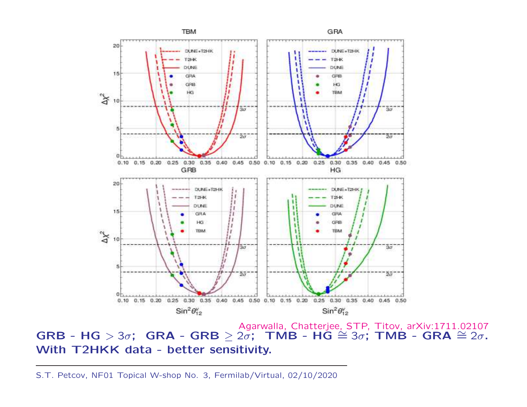

Agarwalla, Chatterjee, STP, Titov, arXiv:1711.02107  $GRB - HG > 3σ$ ;  $GRA - GRB ≥ 2σ$ ;  $TMB - HG ≅ 3σ$ ;  $TMB - GRA ≅ 2σ$ . With T2HKK data - better sensitivity.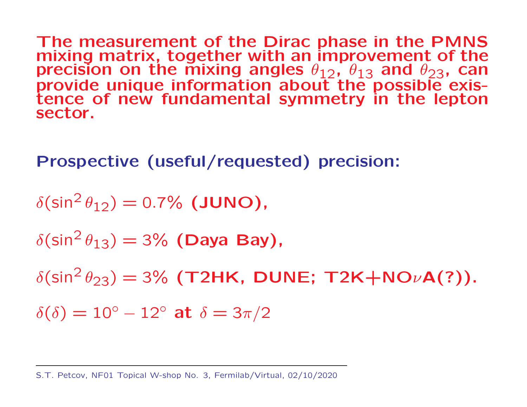The measurement of the Dirac phase in the PMNS mixing matrix, together with an improvement of the precision on the mixing angles  $\theta_{12}$ ,  $\theta_{13}$  and  $\theta_{23}$ , can provide unique information about the possible existence of new fundamental symmetry in the lepton sector.

Prospective (useful/requested) precision:

 $\delta(\sin^2\theta_{12})=$  0.7% (JUNO),  $\delta(\sin^2\theta_{13})=3\%$  (Daya Bay),  $\delta(\sin^2\theta_{23})=3\%$  (T2HK, DUNE; T2K+NO $\nu$ A(?)).  $\delta(\delta) = 10^{\circ} - 12^{\circ}$  at  $\delta = 3\pi/2$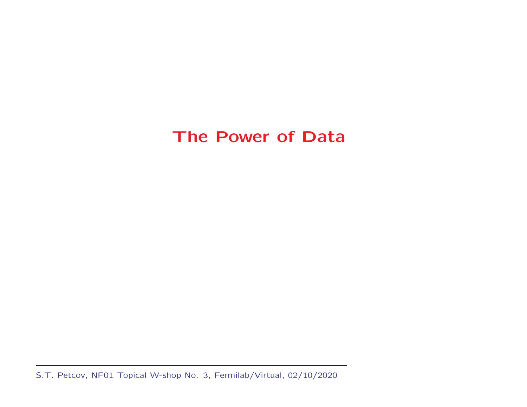#### The Power of Data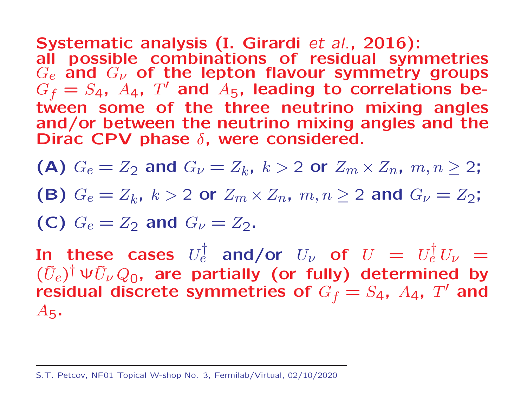Systematic analysis (I. Girardi et al., 2016): all possible combinations of residual symmetries  $G_e$  and  $G_\nu$  of the lepton flavour symmetry groups G  $\boldsymbol{f}$  $= S_4$ ,  $A_4$ ,  $T'$  and  $A_5$ , leading to correlations between some of the three neutrino mixing angles and/or between the neutrino mixing angles and the Dirac CPV phase  $\delta$ , were considered.

(A)  $G_e = Z_2$  and  $G_\nu = Z_k$ ,  $k > 2$  or  $Z_m \times Z_n$ ,  $m, n \ge 2$ ; (B)  $G_e = Z_k$ ,  $k > 2$  or  $Z_m \times Z_n$ ,  $m, n \ge 2$  and  $G_\nu = Z_2$ ; (C)  $G_e = Z_2$  and  $G_v = Z_2$ .

In these cases  $U_i$  $e^{\dagger}$  and/or  $U_{\nu}$  of  $U$  =  $U_{\nu}$ †  $e^{\dagger}U_{\nu}$  =  $(\tilde{U}_e)^{\dagger} \Psi \tilde{U}_V Q_0$ , are partially (or fully) determined by residual discrete symmetries of  $G$  $\boldsymbol{f}$  $\stackrel{\cdot}{=}$   $S_4$ ,  $A_4$ ,  $T'$  and  $A_5$  .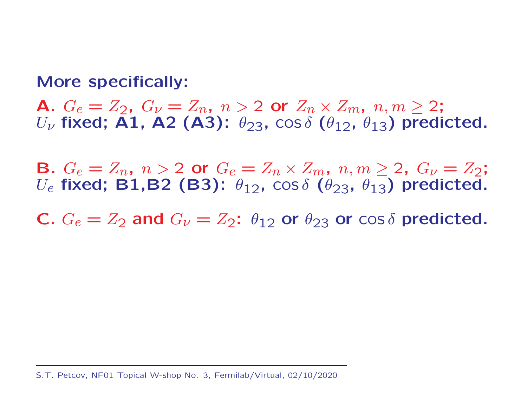More specifically:

**A.**  $G_e = Z_2$ ,  $G_\nu = Z_n$ ,  $n > 2$  or  $Z_n \times Z_m$ ,  $n, m \ge 2$ ;  $U_{\nu}$  fixed; A1, A2 (A3):  $\theta_{23}$ ,  $\cos \delta$  ( $\theta_{12}$ ,  $\theta_{13}$ ) predicted.

**B.**  $G_e = Z_n$ ,  $n > 2$  or  $G_e = Z_n \times Z_m$ ,  $n, m > 2$ ,  $G_v = Z_2$ ;  $U_e$  fixed; B1,B2 (B3):  $\theta_{12}$ ,  $\cos \delta$  ( $\theta_{23}$ ,  $\theta_{13}$ ) predicted.

C.  $G_e = Z_2$  and  $G_\nu = Z_2$ :  $\theta_{12}$  or  $\theta_{23}$  or  $\cos \delta$  predicted.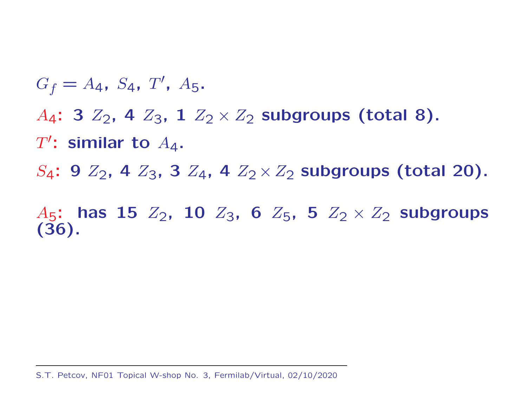$G_f = A_4$ ,  $S_4$ ,  $T'$ ,  $A_5$ .  $A_4$ : 3  $Z_2$ , 4  $Z_3$ , 1  $Z_2 \times Z_2$  subgroups (total 8).  $T'$ : similar to  $A_4$ .  $S_4$ : 9  $Z_2$ , 4  $Z_3$ , 3  $Z_4$ , 4  $Z_2 \times Z_2$  subgroups (total 20).  $A_5$ : has 15  $Z_2$ , 10  $Z_3$ , 6  $Z_5$ , 5  $Z_2 \times Z_2$  subgroups (36).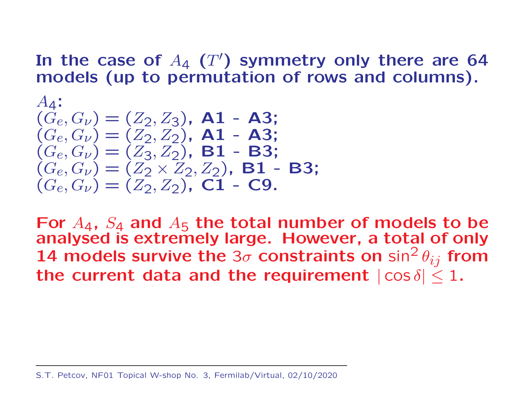#### In the case of  $A_4$  (T') symmetry only there are 64 models (up to permutation of rows and columns).

A4: (G<sup>e</sup>, Gν) <sup>=</sup> (Z2, <sup>Z</sup>3), A1 - A3; (G<sup>e</sup>, Gν) <sup>=</sup> (Z2, Z2), A1 - A3; (G<sup>e</sup>, Gν) <sup>=</sup> (Z3, <sup>Z</sup>2), B1 - B3; (G<sup>e</sup>, Gν) <sup>=</sup> (Z<sup>2</sup> <sup>×</sup> <sup>Z</sup>2, <sup>Z</sup>2), B1 - B3; (G<sup>e</sup>, Gν) <sup>=</sup> (Z2, Z2), C1 - C9.

For  $A_4$ ,  $S_4$  and  $A_5$  the total number of models to be analysed is extremely large. However, <sup>a</sup> total of only 14 models survive the  $3\sigma$  constraints on  $\sin^2\theta_{ij}$  from the current data and the requirement  $|\cos \delta|$  < 1.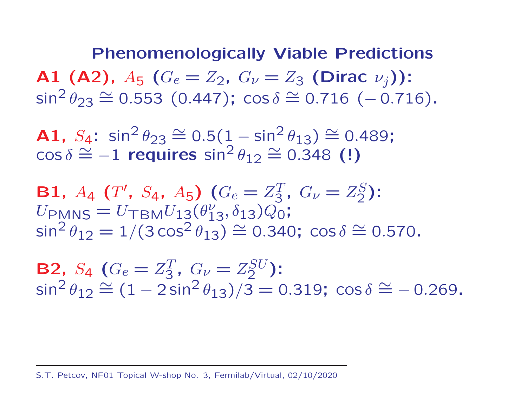Phenomenologically Viable Predictions **A1 (A2)**,  $A_5$  ( $G_e = Z_2$ ,  $G_\nu = Z_3$  (Dirac  $\nu_j$ )):  $\sin^2 \theta_{23} \cong 0.553$  (0.447);  $\cos \delta \cong 0.716$  (-0.716).

**A1,**  $S_4$ :  $\sin^2 \theta_{23} \cong 0.5(1 - \sin^2 \theta_{13}) \cong 0.489$ ;  $\cos \delta \cong -1$  requires  $\sin^2 \theta_{12} \cong 0.348$  (!)

**B1,** 
$$
A_4
$$
 (*T'*,  $S_4$ ,  $A_5$ ) ( $G_e = Z_3^T$ ,  $G_\nu = Z_2^S$ ):  
\n $U_{PMNS} = U_{TBM} U_{13} (\theta_{13}^\nu, \delta_{13}) Q_0;$   
\n $\sin^2 \theta_{12} = 1/(3 \cos^2 \theta_{13}) \cong 0.340;$   $\cos \delta \cong 0.570.$ 

**B2,**  $S_4$  ( $G_e = Z_3^T$  $\frac{T}{3}$ ,  $G_{\nu}=Z_{2}^{SU}$  ):  $\sin^2 \theta_{12} \cong (1 - 2\sin^2 \theta_{13})/3 = 0.319$ ;  $\cos \delta \cong -0.269$ .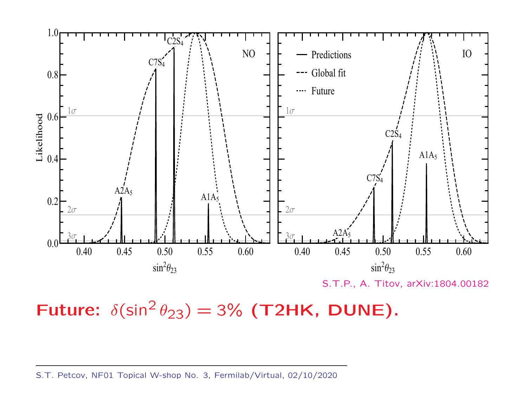

S.T.P., A. Titov, arXiv:1804.00182

Future:  $\delta(\sin^2 \theta_{23}) = 3\%$  (T2HK, DUNE).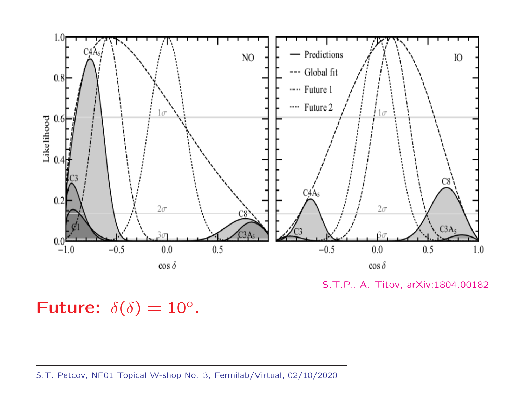

S.T.P., A. Titov, arXiv:1804.00182

Future:  $\delta(\delta) = 10^{\circ}$ .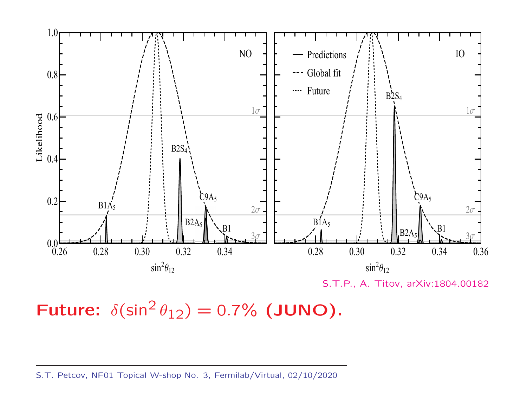

S.T.P., A. Titov, arXiv:1804.00182

Future:  $\delta(\sin^2 \theta_{12}) = 0.7\%$  (JUNO).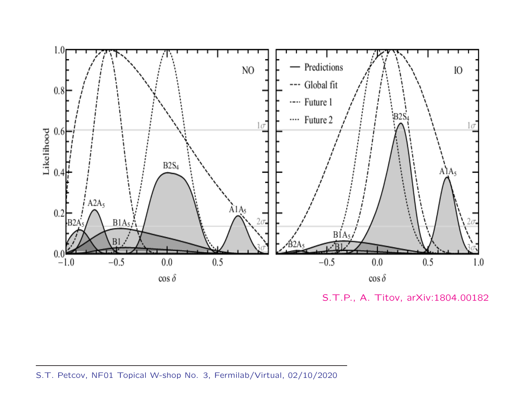

S.T.P., A. Titov, arXiv:1804.00182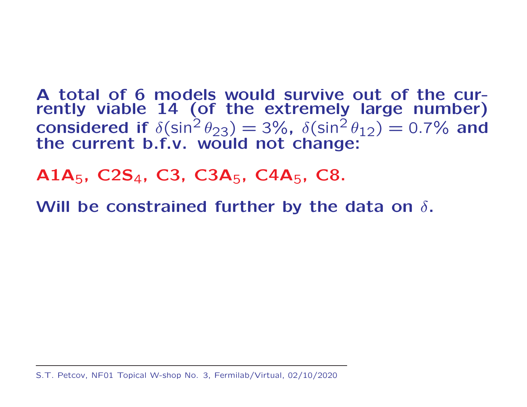A total of 6 models would survive out of the currently viable 14 (of the extremely large number) considered if  $\delta(\sin^2\theta_{23}) = 3\%$ ,  $\delta(\sin^2\theta_{12}) = 0.7\%$  and the current b.f.v. would not change:

A1A<sub>5</sub>, C2S<sub>4</sub>, C3, C3A<sub>5</sub>, C4A<sub>5</sub>, C8.

Will be constrained further by the data on  $\delta.$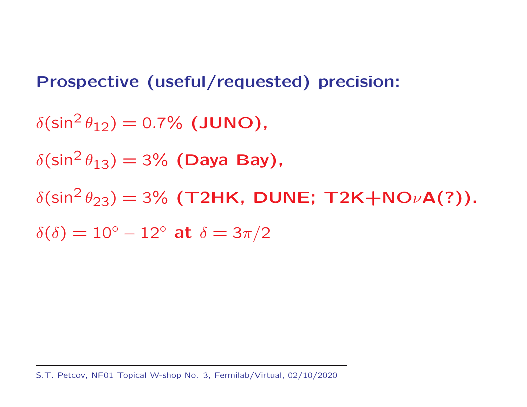## Prospective (useful/requested) precision:

 $\delta(\sin^2\theta_{12})=$  0.7% (JUNO),  $\delta(\sin^2\theta_{13})=3\%$  (Daya Bay),  $\delta(\sin^2\theta_{23})=3\%$  (T2HK, DUNE; T2K+NO $\nu$ A(?)).  $\delta(\delta) = 10^{\circ} - 12^{\circ}$  at  $\delta = 3\pi/2$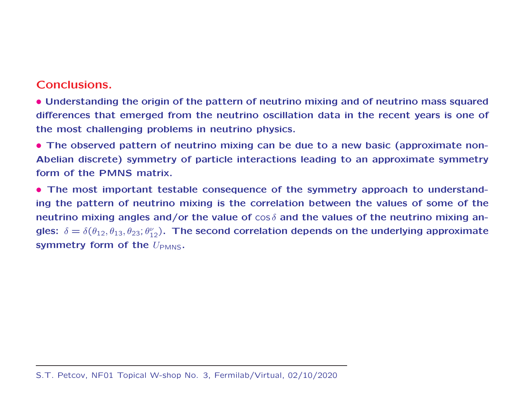#### Conclusions.

• Understanding the origin of the pattern of neutrino mixing and of neutrino mass squared differences that emerged from the neutrino oscillation data in the recent years is one of the most challenging problems in neutrino physics.

• The observed pattern of neutrino mixing can be due to <sup>a</sup> new basic (approximate non-Abelian discrete) symmetry of particle interactions leading to an approximate symmetry form of the PMNS matrix.

• The most important testable consequence of the symmetry approach to understanding the pattern of neutrino mixing is the correlation between the values of some of the neutrino mixing angles and/or the value of  $\cos\delta$  and the values of the neutrino mixing angles:  $\delta=\delta(\theta_{12},\theta_{13},\theta_{23};\theta_{12}^\nu)$ . The second correlation depends on the underlying approximate symmetry form of the  $U_{\sf PMNS}.$